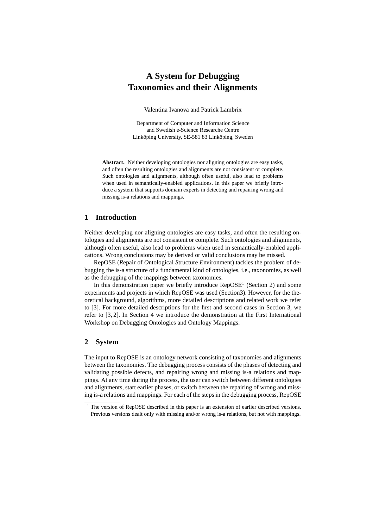# **A System for Debugging Taxonomies and their Alignments**

Valentina Ivanova and Patrick Lambrix

Department of Computer and Information Science and Swedish e-Science Researche Centre Linköping University, SE-581 83 Linköping, Sweden

**Abstract.** Neither developing ontologies nor aligning ontologies are easy tasks, and often the resulting ontologies and alignments are not consistent or complete. Such ontologies and alignments, although often useful, also lead to problems when used in semantically-enabled applications. In this paper we briefly introduce a system that supports domain experts in detecting and repairing wrong and missing is-a relations and mappings.

## **1 Introduction**

Neither developing nor aligning ontologies are easy tasks, and often the resulting ontologies and alignments are not consistent or complete. Such ontologies and alignments, although often useful, also lead to problems when used in semantically-enabled applications. Wrong conclusions may be derived or valid conclusions may be missed.

RepOSE (*R*epair of *O*ntological *S*tructure *E*nvironment) tackles the problem of debugging the is-a structure of a fundamental kind of ontologies, i.e., taxonomies, as well as the debugging of the mappings between taxonomies.

In this demonstration paper we briefly introduce  $\text{RepOSE}^1$  (Section 2) and some experiments and projects in which RepOSE was used (Section3). However, for the theoretical background, algorithms, more detailed descriptions and related work we refer to [3]. For more detailed descriptions for the first and second cases in Section 3, we refer to [3, 2]. In Section 4 we introduce the demonstration at the First International Workshop on Debugging Ontologies and Ontology Mappings.

#### **2 System**

The input to RepOSE is an ontology network consisting of taxonomies and alignments between the taxonomies. The debugging process consists of the phases of detecting and validating possible defects, and repairing wrong and missing is-a relations and mappings. At any time during the process, the user can switch between different ontologies and alignments, start earlier phases, or switch between the repairing of wrong and missing is-a relations and mappings. For each of the steps in the debugging process, RepOSE

<sup>&</sup>lt;sup>1</sup> The version of RepOSE described in this paper is an extension of earlier described versions. Previous versions dealt only with missing and/or wrong is-a relations, but not with mappings.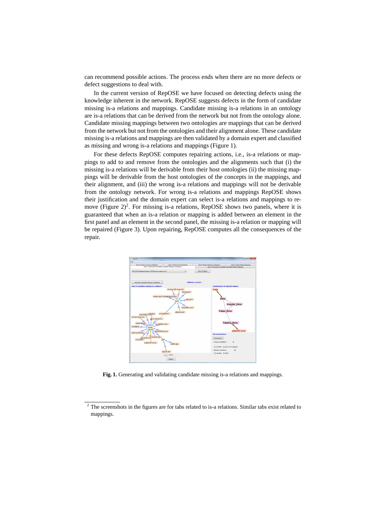can recommend possible actions. The process ends when there are no more defects or defect suggestions to deal with.

In the current version of RepOSE we have focused on detecting defects using the knowledge inherent in the network. RepOSE suggests defects in the form of candidate missing is-a relations and mappings. Candidate missing is-a relations in an ontology are is-a relations that can be derived from the network but not from the ontology alone. Candidate missing mappings between two ontologies are mappings that can be derived from the network but not from the ontologies and their alignment alone. These candidate missing is-a relations and mappings are then validated by a domain expert and classified as missing and wrong is-a relations and mappings (Figure 1).

For these defects RepOSE computes repairing actions, i.e., is-a relations or mappings to add to and remove from the ontologies and the alignments such that (i) the missing is-a relations will be derivable from their host ontologies (ii) the missing mappings will be derivable from the host ontologies of the concepts in the mappings, and their alignment, and (iii) the wrong is-a relations and mappings will not be derivable from the ontology network. For wrong is-a relations and mappings RepOSE shows their justification and the domain expert can select is-a relations and mappings to remove (Figure  $2)^2$ . For missing is-a relations, RepOSE shows two panels, where it is guaranteed that when an is-a relation or mapping is added between an element in the first panel and an element in the second panel, the missing is-a relation or mapping will be repaired (Figure 3). Upon repairing, RepOSE computes all the consequences of the repair.



Fig. 1. Generating and validating candidate missing is-a relations and mappings.

<sup>&</sup>lt;sup>2</sup> The screenshots in the figures are for tabs related to is-a relations. Similar tabs exist related to mappings.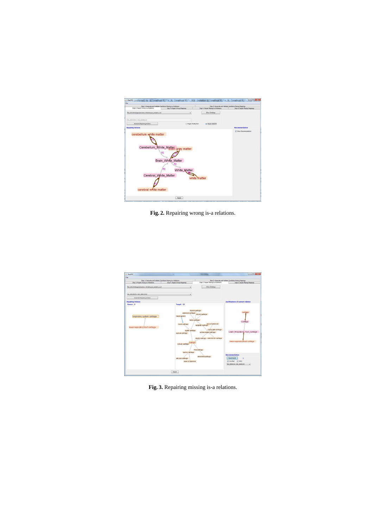| File                                                                                                  |                                     |                    |                                                          |                                 |
|-------------------------------------------------------------------------------------------------------|-------------------------------------|--------------------|----------------------------------------------------------|---------------------------------|
| Step 1: Generate and Validate Candidate Missing is-a Relations<br>Step 3: Repair Wrong is a Relations |                                     |                    | Step 2: Generate and Validate Candidate Missing Mappings |                                 |
|                                                                                                       | Step 4: Repair Virong Mappings      |                    | Step 5: Repair Missing is a Relations                    | Step 6: Repair Missing Mappings |
| file:///Z:/Ontologies/anatomy 2010/mouse_anatomy.cod                                                  |                                     | ٠                  | Show Ontology                                            |                                 |
| MA 000243010->MA 000081010                                                                            |                                     |                    |                                                          |                                 |
| Generate Repairing Actions                                                                            |                                     | C: Repair OneByOne | Repair InBatch                                           |                                 |
| <b>Repairing Actions</b>                                                                              |                                     |                    |                                                          | <b>Recommendation</b>           |
|                                                                                                       |                                     |                    |                                                          | V Show Recommendation           |
| cerebellum white matter                                                                               |                                     |                    |                                                          |                                 |
|                                                                                                       |                                     |                    |                                                          |                                 |
|                                                                                                       |                                     |                    |                                                          |                                 |
|                                                                                                       |                                     |                    |                                                          |                                 |
|                                                                                                       |                                     |                    |                                                          |                                 |
|                                                                                                       | Cerebellum_White_Matter grey matter |                    |                                                          |                                 |
|                                                                                                       |                                     |                    |                                                          |                                 |
|                                                                                                       | P <sub>2</sub>                      |                    |                                                          |                                 |
|                                                                                                       |                                     |                    |                                                          |                                 |
|                                                                                                       | Brain White Matter                  |                    |                                                          |                                 |
|                                                                                                       |                                     |                    |                                                          |                                 |
|                                                                                                       |                                     |                    |                                                          |                                 |
|                                                                                                       | P <sub>2</sub><br>White Matter      |                    |                                                          |                                 |
|                                                                                                       |                                     |                    |                                                          |                                 |
| Cerebral White Matter                                                                                 |                                     |                    |                                                          |                                 |
|                                                                                                       |                                     | white matter       |                                                          |                                 |
|                                                                                                       |                                     |                    |                                                          |                                 |
|                                                                                                       |                                     |                    |                                                          |                                 |
|                                                                                                       |                                     |                    |                                                          |                                 |
| cerebral white matter                                                                                 |                                     |                    |                                                          |                                 |
|                                                                                                       |                                     |                    |                                                          |                                 |
|                                                                                                       |                                     |                    |                                                          |                                 |
|                                                                                                       |                                     |                    |                                                          |                                 |

**Fig. 2.** Repairing wrong is-a relations.



**Fig. 3.** Repairing missing is-a relations.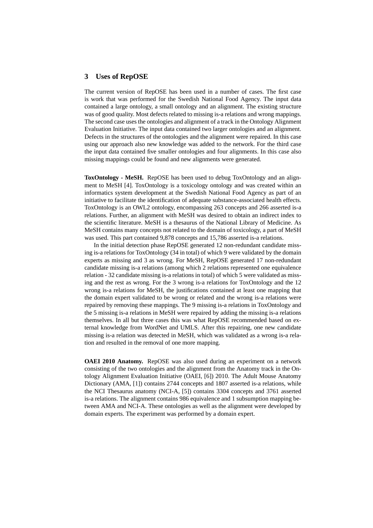#### **3 Uses of RepOSE**

The current version of RepOSE has been used in a number of cases. The first case is work that was performed for the Swedish National Food Agency. The input data contained a large ontology, a small ontology and an alignment. The existing structure was of good quality. Most defects related to missing is-a relations and wrong mappings. The second case uses the ontologies and alignment of a track in the Ontology Alignment Evaluation Initiative. The input data contained two larger ontologies and an alignment. Defects in the structures of the ontologies and the alignment were repaired. In this case using our approach also new knowledge was added to the network. For the third case the input data contained five smaller ontologies and four alignments. In this case also missing mappings could be found and new alignments were generated.

**ToxOntology - MeSH.** RepOSE has been used to debug ToxOntology and an alignment to MeSH [4]. ToxOntology is a toxicology ontology and was created within an informatics system development at the Swedish National Food Agency as part of an initiative to facilitate the identification of adequate substance-associated health effects. ToxOntology is an OWL2 ontology, encompassing 263 concepts and 266 asserted is-a relations. Further, an alignment with MeSH was desired to obtain an indirect index to the scientific literature. MeSH is a thesaurus of the National Library of Medicine. As MeSH contains many concepts not related to the domain of toxicology, a part of MeSH was used. This part contained 9,878 concepts and 15,786 asserted is-a relations.

In the initial detection phase RepOSE generated 12 non-redundant candidate missing is-a relations for ToxOntology (34 in total) of which 9 were validated by the domain experts as missing and 3 as wrong. For MeSH, RepOSE generated 17 non-redundant candidate missing is-a relations (among which 2 relations represented one equivalence relation - 32 candidate missing is-a relations in total) of which 5 were validated as missing and the rest as wrong. For the 3 wrong is-a relations for ToxOntology and the 12 wrong is-a relations for MeSH, the justifications contained at least one mapping that the domain expert validated to be wrong or related and the wrong is-a relations were repaired by removing these mappings. The 9 missing is-a relations in ToxOntology and the 5 missing is-a relations in MeSH were repaired by adding the missing is-a relations themselves. In all but three cases this was what RepOSE recommended based on external knowledge from WordNet and UMLS. After this repairing, one new candidate missing is-a relation was detected in MeSH, which was validated as a wrong is-a relation and resulted in the removal of one more mapping.

**OAEI 2010 Anatomy.** RepOSE was also used during an experiment on a network consisting of the two ontologies and the alignment from the Anatomy track in the Ontology Alignment Evaluation Initiative (OAEI, [6]) 2010. The Adult Mouse Anatomy Dictionary (AMA, [1]) contains 2744 concepts and 1807 asserted is-a relations, while the NCI Thesaurus anatomy (NCI-A, [5]) contains 3304 concepts and 3761 asserted is-a relations. The alignment contains 986 equivalence and 1 subsumption mapping between AMA and NCI-A. These ontologies as well as the alignment were developed by domain experts. The experiment was performed by a domain expert.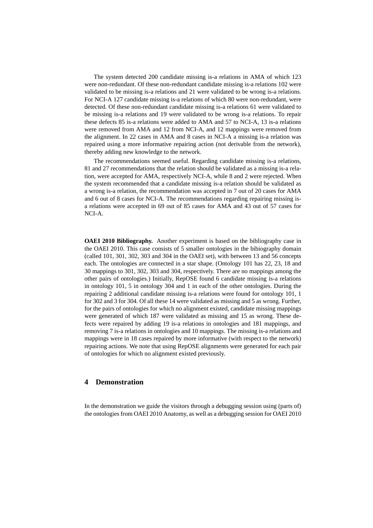The system detected 200 candidate missing is-a relations in AMA of which 123 were non-redundant. Of these non-redundant candidate missing is-a relations 102 were validated to be missing is-a relations and 21 were validated to be wrong is-a relations. For NCI-A 127 candidate missing is-a relations of which 80 were non-redundant, were detected. Of these non-redundant candidate missing is-a relations 61 were validated to be missing is-a relations and 19 were validated to be wrong is-a relations. To repair these defects 85 is-a relations were added to AMA and 57 to NCI-A, 13 is-a relations were removed from AMA and 12 from NCI-A, and 12 mappings were removed from the alignment. In 22 cases in AMA and 8 cases in NCI-A a missing is-a relation was repaired using a more informative repairing action (not derivable from the network), thereby adding new knowledge to the network.

The recommendations seemed useful. Regarding candidate missing is-a relations, 81 and 27 recommendations that the relation should be validated as a missing is-a relation, were accepted for AMA, respectively NCI-A, while 8 and 2 were rejected. When the system recommended that a candidate missing is-a relation should be validated as a wrong is-a relation, the recommendation was accepted in 7 out of 20 cases for AMA and 6 out of 8 cases for NCI-A. The recommendations regarding repairing missing isa relations were accepted in 69 out of 85 cases for AMA and 43 out of 57 cases for NCI-A.

**OAEI 2010 Bibliography.** Another experiment is based on the bibliography case in the OAEI 2010. This case consists of 5 smaller ontologies in the bibiography domain (called 101, 301, 302, 303 and 304 in the OAEI set), with between 13 and 56 concepts each. The ontologies are connected in a star shape. (Ontology 101 has 22, 23, 18 and 30 mappings to 301, 302, 303 and 304, respectively. There are no mappings among the other pairs of ontologies.) Initially, RepOSE found 6 candidate missing is-a relations in ontology 101, 5 in ontology 304 and 1 in each of the other ontologies. During the repairing 2 additional candidate missing is-a relations were found for ontology 101, 1 for 302 and 3 for 304. Of all these 14 were validated as missing and 5 as wrong. Further, for the pairs of ontologies for which no alignment existed, candidate missing mappings were generated of which 187 were validated as missing and 15 as wrong. These defects were repaired by adding 19 is-a relations in ontologies and 181 mappings, and removing 7 is-a relations in ontologies and 10 mappings. The missing is-a relations and mappings were in 18 cases repaired by more informative (with respect to the network) repairing actions. We note that using RepOSE alignments were generated for each pair of ontologies for which no alignment existed previously.

## **4 Demonstration**

In the demonstration we guide the visitors through a debugging session using (parts of) the ontologies from OAEI 2010 Anatomy, as well as a debugging session for OAEI 2010